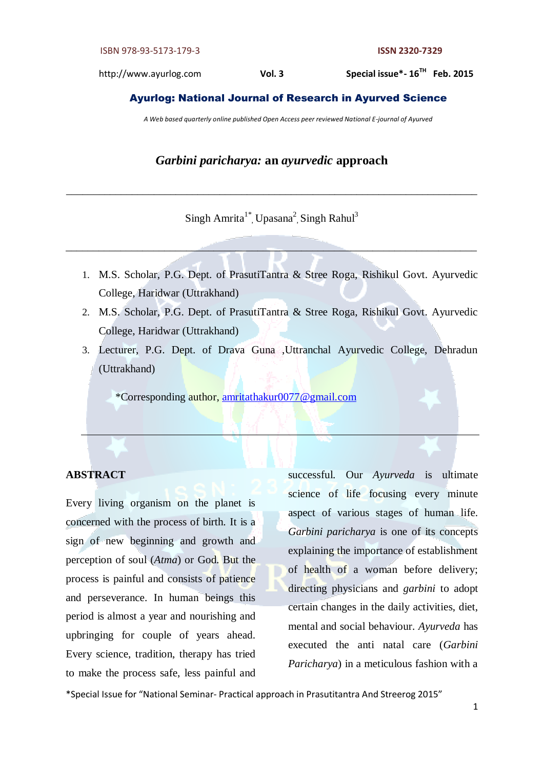http://www.ayurlog.com **Vol. 3** Special issue\*-16<sup>TH</sup> Feb. 2015

## Ayurlog: National Journal of Research in Ayurved Science

*A Web based quarterly online published Open Access peer reviewed National E-journal of Ayurved*

# *Garbini paricharya:* **an** *ayurvedic* **approach**

# Singh Amrita<sup>1\*</sup>, Upasana<sup>2</sup>, Singh Rahul<sup>3</sup>

\_\_\_\_\_\_\_\_\_\_\_\_\_\_\_\_\_\_\_\_\_\_\_\_\_\_\_\_\_\_\_\_\_\_\_\_\_\_\_\_\_\_\_\_\_\_\_\_\_\_\_\_\_\_\_\_\_\_\_\_\_\_\_\_\_\_\_\_\_\_\_\_\_\_\_

\_\_\_\_\_\_\_\_\_\_\_\_\_\_\_\_\_\_\_\_\_\_\_\_\_\_\_\_\_\_\_\_\_\_\_\_\_\_\_\_\_\_\_\_\_\_\_\_\_\_\_\_\_\_\_\_\_\_\_\_\_\_\_\_\_\_\_\_\_\_\_\_\_\_\_

- 1. M.S. Scholar, P.G. Dept. of PrasutiTantra & Stree Roga, Rishikul Govt. Ayurvedic College, Haridwar (Uttrakhand)
- 2. M.S. Scholar, P.G. Dept. of PrasutiTantra & Stree Roga, Rishikul Govt. Ayurvedic College, Haridwar (Uttrakhand)
- 3. Lecturer, P.G. Dept. of Drava Guna ,Uttranchal Ayurvedic College, Dehradun (Uttrakhand)

\*Corresponding author, [amritathakur0077@gmail.com](mailto:amritathakur0077@gmail.com)

# **ABSTRACT**

Every living organism on the planet is concerned with the process of birth. It is a sign of new beginning and growth and perception of soul (*Atma*) or God. But the process is painful and consists of patience and perseverance. In human beings this period is almost a year and nourishing and upbringing for couple of years ahead. Every science, tradition, therapy has tried to make the process safe, less painful and

successful. Our *Ayurveda* is ultimate science of life focusing every minute aspect of various stages of human life. *Garbini paricharya* is one of its concepts explaining the importance of establishment of health of a woman before delivery; directing physicians and *garbini* to adopt certain changes in the daily activities, diet, mental and social behaviour. *Ayurveda* has executed the anti natal care (*Garbini Paricharya*) in a meticulous fashion with a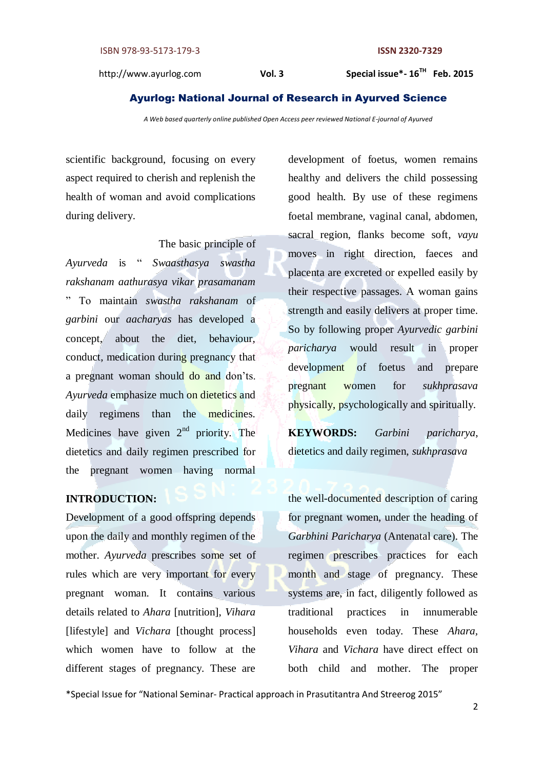Special issue\*-16<sup>TH</sup> Feb. 2015

#### Ayurlog: National Journal of Research in Ayurved Science

*A Web based quarterly online published Open Access peer reviewed National E-journal of Ayurved*

scientific background, focusing on every aspect required to cherish and replenish the health of woman and avoid complications during delivery.

 The basic principle of *Ayurveda* is " *Swaasthasya swastha rakshanam aathurasya vikar prasamanam* " To maintain *swastha rakshanam* of *garbini* our *aacharyas* has developed a concept, about the diet, behaviour, conduct, medication during pregnancy that a pregnant woman should do and don'ts. *Ayurveda* emphasize much on dietetics and daily regimens than the medicines. Medicines have given  $2<sup>nd</sup>$  priority. The dietetics and daily regimen prescribed for the pregnant women having normal

# **INTRODUCTION:**

Development of a good offspring depends upon the daily and monthly regimen of the mother. *Ayurveda* prescribes some set of rules which are very important for every pregnant woman. It contains various details related to *Ahara* [nutrition], *Vihara* [lifestyle] and *Vichara* [thought process] which women have to follow at the different stages of pregnancy. These are

development of foetus, women remains healthy and delivers the child possessing good health. By use of these regimens foetal membrane, vaginal canal, abdomen, sacral region, flanks become soft*, vayu* moves in right direction, faeces and placenta are excreted or expelled easily by their respective passages. A woman gains strength and easily delivers at proper time. So by following proper *Ayurvedic garbini paricharya* would result in proper development of foetus and prepare pregnant women for *sukhprasava* physically, psychologically and spiritually.

**KEYWORDS:** *Garbini paricharya*, dietetics and daily regimen, *sukhprasava*

the well-documented description of caring for pregnant women, under the heading of *Garbhini Paricharya* (Antenatal care). The regimen prescribes practices for each month and stage of pregnancy. These systems are, in fact, diligently followed as traditional practices in innumerable households even today. These *Ahara, Vihara* and *Vichara* have direct effect on both child and mother. The proper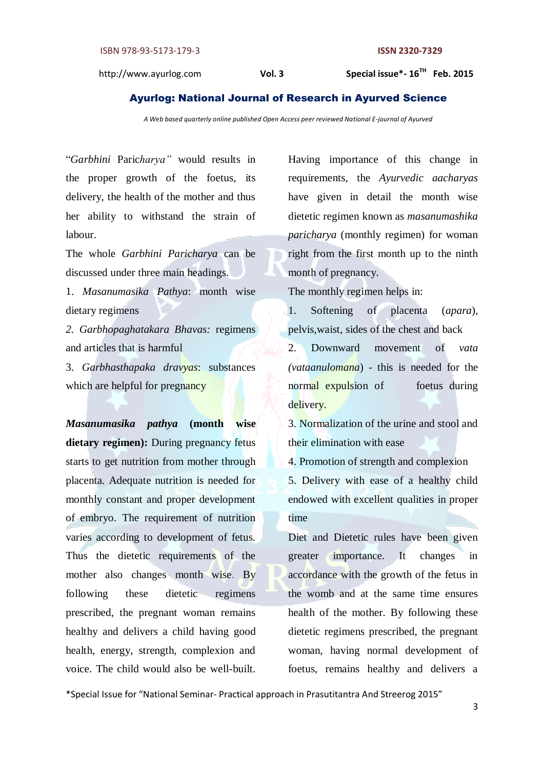Special issue\*-16<sup>TH</sup> Feb. 2015

#### Ayurlog: National Journal of Research in Ayurved Science

*A Web based quarterly online published Open Access peer reviewed National E-journal of Ayurved*

"*Garbhini* Paric*harya"* would results in the proper growth of the foetus, its delivery, the health of the mother and thus her ability to withstand the strain of labour.

The whole *Garbhini Paricharya* can be discussed under three main headings.

1. *Masanumasika Pathya*: month wise dietary regimens

*2. Garbhopaghatakara Bhavas:* regimens and articles that is harmful

3. *Garbhasthapaka dravyas*: substances which are helpful for pregnancy

*Masanumasika pathya* **(month wise**  dietary regimen): During pregnancy fetus starts to get nutrition from mother through placenta. Adequate nutrition is needed for monthly constant and proper development of embryo. The requirement of nutrition varies according to development of fetus. Thus the dietetic requirements of the mother also changes month wise. By following these dietetic regimens prescribed, the pregnant woman remains healthy and delivers a child having good health, energy, strength, complexion and voice. The child would also be well-built.

Having importance of this change in requirements, the *Ayurvedic aacharyas*  have given in detail the month wise dietetic regimen known as *masanumashika paricharya* (monthly regimen) for woman right from the first month up to the ninth month of pregnancy.

The monthly regimen helps in:

1. Softening of placenta (*apara*), pelvis,waist, sides of the chest and back

2. Downward movement of *vata (vataanulomana*) - this is needed for the normal expulsion of foetus during delivery.

3. Normalization of the urine and stool and their elimination with ease

4. Promotion of strength and complexion

5. Delivery with ease of a healthy child endowed with excellent qualities in proper time

Diet and Dietetic rules have been given greater importance. It changes in accordance with the growth of the fetus in the womb and at the same time ensures health of the mother. By following these dietetic regimens prescribed, the pregnant woman, having normal development of foetus, remains healthy and delivers a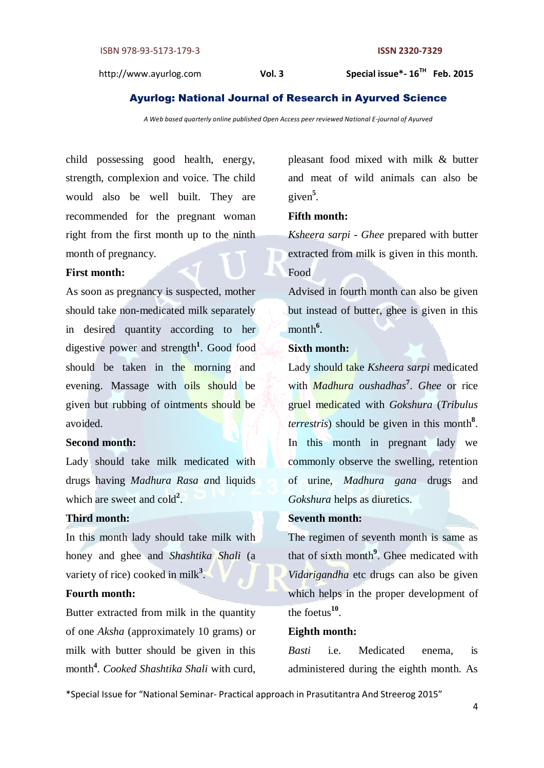Special issue\*-16<sup>TH</sup> Feb. 2015

## Ayurlog: National Journal of Research in Ayurved Science

*A Web based quarterly online published Open Access peer reviewed National E-journal of Ayurved*

child possessing good health, energy, strength, complexion and voice. The child would also be well built. They are recommended for the pregnant woman right from the first month up to the ninth month of pregnancy.

# **First month:**

As soon as pregnancy is suspected, mother should take non-medicated milk separately in desired quantity according to her digestive power and strength<sup>1</sup>. Good food should be taken in the morning and evening. Massage with oils should be given but rubbing of ointments should be avoided.

#### **Second month:**

Lady should take milk medicated with drugs having *Madhura Rasa a*nd liquids which are sweet and cold<sup>2</sup>.

# **Third month:**

In this month lady should take milk with honey and ghee and *Shashtika Shali* (a variety of rice) cooked in milk<sup>3</sup>.

# **Fourth month:**

Butter extracted from milk in the quantity of one *Aksha* (approximately 10 grams) or milk with butter should be given in this month**<sup>4</sup>** *. Cooked Shashtika Shali* with curd, pleasant food mixed with milk & butter and meat of wild animals can also be given**<sup>5</sup>** *.*

#### **Fifth month:**

*Ksheera sarpi - Ghee* prepared with butter extracted from milk is given in this month. Food

Advised in fourth month can also be given but instead of butter, ghee is given in this month<sup>6</sup>.

# **Sixth month:**

Lady should take *Ksheera sarpi* medicated with *Madhura oushadhas***<sup>7</sup>** . *Ghee* or rice gruel medicated with *Gokshura* (*Tribulus terrestris*) should be given in this month**<sup>8</sup>** . In this month in pregnant lady we commonly observe the swelling, retention of urine, *Madhura gana* drugs and *Gokshura* helps as diuretics.

# **Seventh month:**

The regimen of seventh month is same as that of sixth month**<sup>9</sup>** . Ghee medicated with *Vidarigandha* etc drugs can also be given which helps in the proper development of the foetus**<sup>10</sup>** .

#### **Eighth month:**

*Basti* i.e. Medicated enema, is administered during the eighth month. As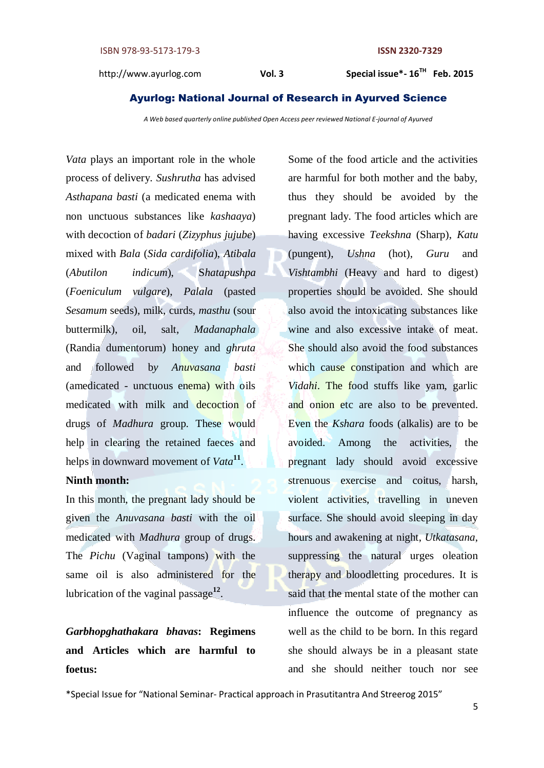#### Ayurlog: National Journal of Research in Ayurved Science

*A Web based quarterly online published Open Access peer reviewed National E-journal of Ayurved*

*Vata* plays an important role in the whole process of delivery. *Sushrutha* has advised *Asthapana basti* (a medicated enema with non unctuous substances like *kashaaya*) with decoction of *badari* (*Zizyphus jujube*) mixed with *Bala* (*Sida cardifolia*), *Atibala* (*Abutilon indicum*), S*hatapushpa*  (*Foeniculum vulgare*), *Palala* (pasted *Sesamum* seeds), milk, curds, *masthu* (sour buttermilk), oil, salt, *Madanaphala*  (Randia dumentorum) honey and *ghruta* and followed b*y Anuvasana basti* (amedicated - unctuous enema) with oils medicated with milk and decoction of drugs of *Madhura* group. These would help in clearing the retained faeces and helps in downward movement of *Vata***<sup>11</sup>** .

# **Ninth month:**

In this month, the pregnant lady should be given the *Anuvasana basti* with the oil medicated with *Madhura* group of drugs. The *Pichu* (Vaginal tampons) with the same oil is also administered for the lubrication of the vaginal passage**<sup>12</sup>** .

# *Garbhopghathakara bhavas***: Regimens and Articles which are harmful to foetus:**

Some of the food article and the activities are harmful for both mother and the baby, thus they should be avoided by the pregnant lady. The food articles which are having excessive *Teekshna* (Sharp), *Katu* (pungent), *Ushna* (hot), *Guru* and *Vishtambhi* (Heavy and hard to digest) properties should be avoided. She should also avoid the intoxicating substances like wine and also excessive intake of meat. She should also avoid the food substances which cause constipation and which are *Vidahi*. The food stuffs like yam, garlic and onion etc are also to be prevented. Even the *Kshara* foods (alkalis) are to be avoided. Among the activities, the pregnant lady should avoid excessive strenuous exercise and coitus, harsh, violent activities, travelling in uneven surface. She should avoid sleeping in day hours and awakening at night, *Utkatasana*, suppressing the natural urges oleation therapy and bloodletting procedures. It is said that the mental state of the mother can influence the outcome of pregnancy as well as the child to be born. In this regard she should always be in a pleasant state and she should neither touch nor see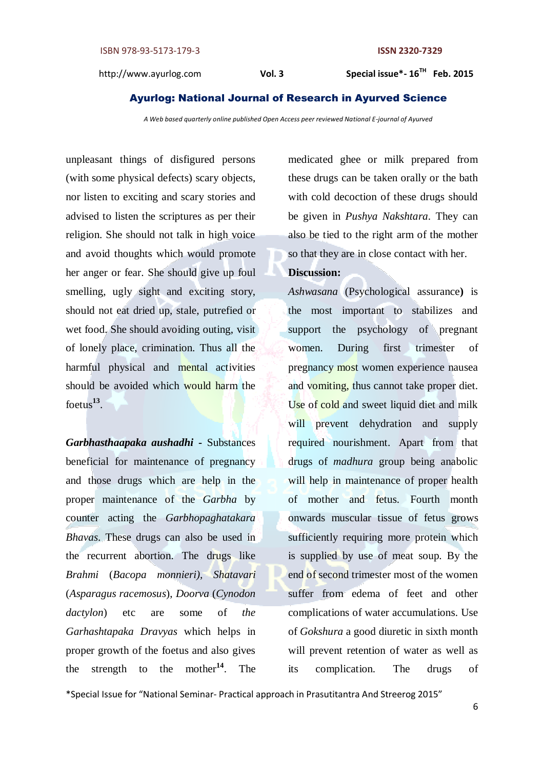#### Ayurlog: National Journal of Research in Ayurved Science

*A Web based quarterly online published Open Access peer reviewed National E-journal of Ayurved*

unpleasant things of disfigured persons (with some physical defects) scary objects, nor listen to exciting and scary stories and advised to listen the scriptures as per their religion. She should not talk in high voice and avoid thoughts which would promote her anger or fear. She should give up foul smelling, ugly sight and exciting story, should not eat dried up, stale, putrefied or wet food. She should avoiding outing, visit of lonely place, crimination. Thus all the harmful physical and mental activities should be avoided which would harm the foetus**<sup>13</sup>** .

*Garbhasthaapaka aushadhi* **-** Substances beneficial for maintenance of pregnancy and those drugs which are help in the proper maintenance of the *Garbha* by counter acting the *Garbhopaghatakara Bhavas*. These drugs can also be used in the recurrent abortion. The drugs like *Brahmi* (*Bacopa monnieri), Shatavari* (*Asparagus racemosus*), *Doorva* (*Cynodon dactylon*) etc are some of *the Garhashtapaka Dravyas* which helps in proper growth of the foetus and also gives the strength to the mother**<sup>14</sup>**. The

medicated ghee or milk prepared from these drugs can be taken orally or the bath with cold decoction of these drugs should be given in *Pushya Nakshtara*. They can also be tied to the right arm of the mother so that they are in close contact with her.

## **Discussion:**

*Ashwasana* (Psychological assurance**)** is the most important to stabilizes and support the psychology of pregnant women. During first trimester of pregnancy most women experience nausea and vomiting, thus cannot take proper diet. Use of cold and sweet liquid diet and milk will prevent dehydration and supply required nourishment. Apart from that drugs of *madhura* group being anabolic will help in maintenance of proper health of mother and fetus. Fourth month onwards muscular tissue of fetus grows sufficiently requiring more protein which is supplied by use of meat soup. By the end of second trimester most of the women suffer from edema of feet and other complications of water accumulations. Use of *Gokshura* a good diuretic in sixth month will prevent retention of water as well as its complication. The drugs of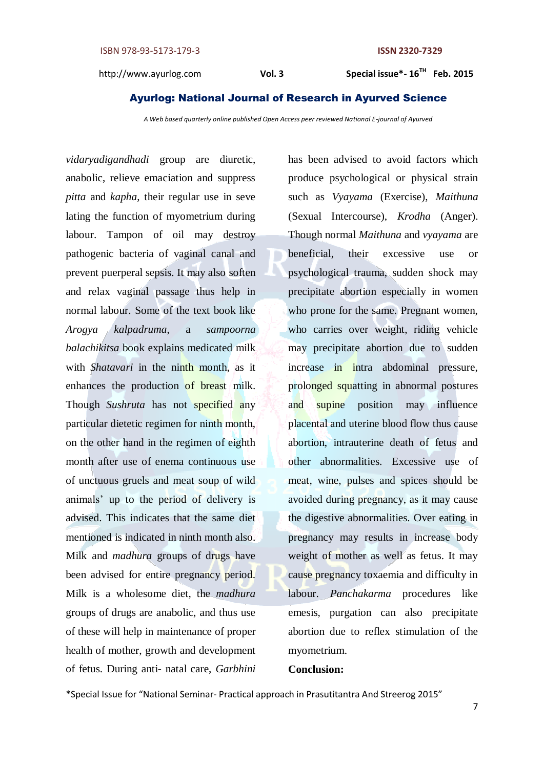#### Ayurlog: National Journal of Research in Ayurved Science

*A Web based quarterly online published Open Access peer reviewed National E-journal of Ayurved*

*vidaryadigandhadi* group are diuretic, anabolic, relieve emaciation and suppress *pitta* and *kapha*, their regular use in seve lating the function of myometrium during labour. Tampon of oil may destroy pathogenic bacteria of vaginal canal and prevent puerperal sepsis. It may also soften and relax vaginal passage thus help in normal labour. Some of the text book like *Arogya kalpadruma*, a *sampoorna balachikitsa* book explains medicated milk with *Shatavari* in the ninth month, as it enhances the production of breast milk. Though *Sushruta* has not specified any particular dietetic regimen for ninth month, on the other hand in the regimen of eighth month after use of enema continuous use of unctuous gruels and meat soup of wild animals' up to the period of delivery is advised. This indicates that the same diet mentioned is indicated in ninth month also. Milk and *madhura* groups of drugs have been advised for entire pregnancy period. Milk is a wholesome diet, the *madhura* groups of drugs are anabolic, and thus use of these will help in maintenance of proper health of mother, growth and development of fetus. During anti- natal care, *Garbhini* 

has been advised to avoid factors which produce psychological or physical strain such as *Vyayama* (Exercise), *Maithuna*  (Sexual Intercourse), *Krodha* (Anger). Though normal *Maithuna* and *vyayama* are beneficial, their excessive use or psychological trauma, sudden shock may precipitate abortion especially in women who prone for the same. Pregnant women, who carries over weight, riding vehicle may precipitate abortion due to sudden increase in intra abdominal pressure, prolonged squatting in abnormal postures and supine position may influence placental and uterine blood flow thus cause abortion, intrauterine death of fetus and other abnormalities. Excessive use of meat, wine, pulses and spices should be avoided during pregnancy, as it may cause the digestive abnormalities. Over eating in pregnancy may results in increase body weight of mother as well as fetus. It may cause pregnancy toxaemia and difficulty in labour. *Panchakarma* procedures like emesis, purgation can also precipitate abortion due to reflex stimulation of the myometrium.

#### **Conclusion:**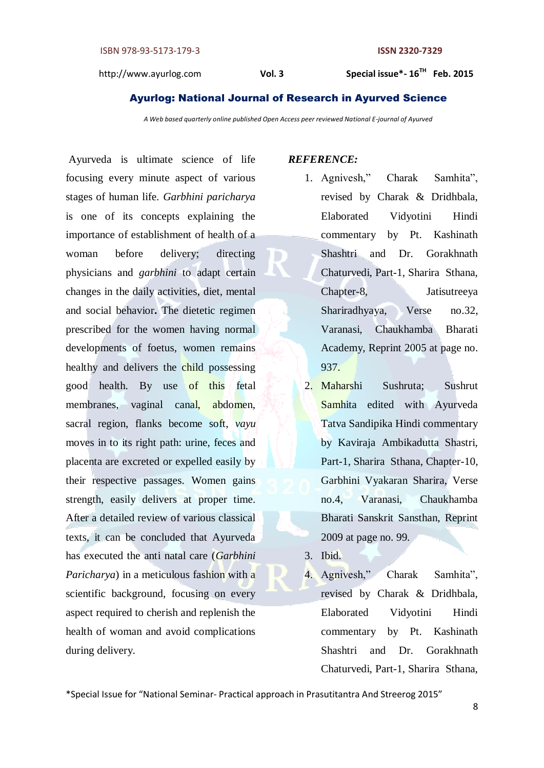#### Ayurlog: National Journal of Research in Ayurved Science

*A Web based quarterly online published Open Access peer reviewed National E-journal of Ayurved*

Ayurveda is ultimate science of life focusing every minute aspect of various stages of human life. *Garbhini paricharya* is one of its concepts explaining the importance of establishment of health of a woman before delivery; directing physicians and *garbhini* to adapt certain changes in the daily activities, diet, mental and social behavior**.** The dietetic regimen prescribed for the women having normal developments of foetus, women remains healthy and delivers the child possessing good health. By use of this fetal membranes, vaginal canal, abdomen, sacral region, flanks become soft, *vayu* moves in to its right path: urine, feces and placenta are excreted or expelled easily by their respective passages. Women gains strength, easily delivers at proper time. After a detailed review of various classical texts, it can be concluded that Ayurveda has executed the anti natal care (*Garbhini Paricharya*) in a meticulous fashion with a scientific background, focusing on every aspect required to cherish and replenish the health of woman and avoid complications during delivery.

#### *REFERENCE:*

- 1. Agnivesh," Charak Samhita", revised by Charak & Dridhbala, Elaborated Vidyotini Hindi commentary by Pt. Kashinath Shashtri and Dr. Gorakhnath Chaturvedi, Part-1, Sharira Sthana, Chapter-8, Jatisutreeya Shariradhyaya, Verse no.32, Varanasi, Chaukhamba Bharati Academy, Reprint 2005 at page no. 937.
- 2. Maharshi Sushruta; Sushrut Samhita edited with Ayurveda Tatva Sandipika Hindi commentary by Kaviraja Ambikadutta Shastri, Part-1, Sharira Sthana, Chapter-10, Garbhini Vyakaran Sharira, Verse no.4, Varanasi, Chaukhamba Bharati Sanskrit Sansthan, Reprint 2009 at page no. 99.
- 3. Ibid.
- 4. Agnivesh," Charak Samhita", revised by Charak & Dridhbala, Elaborated Vidyotini Hindi commentary by Pt. Kashinath Shashtri and Dr. Gorakhnath Chaturvedi, Part-1, Sharira Sthana,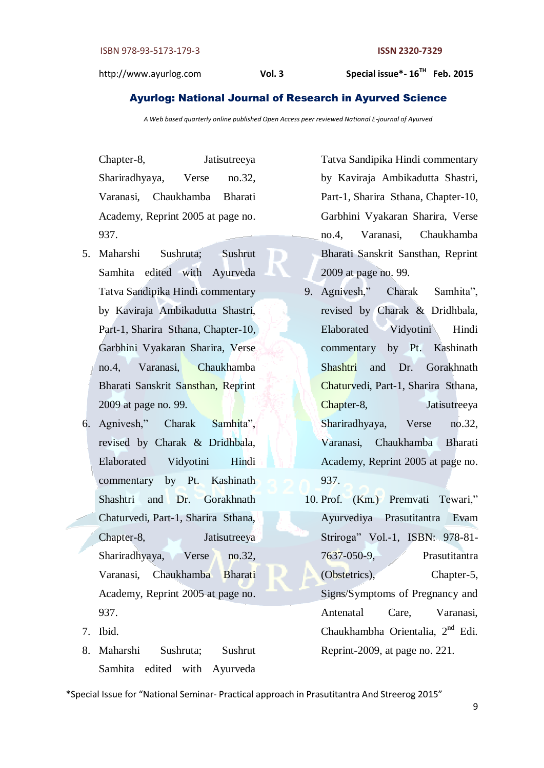#### Ayurlog: National Journal of Research in Ayurved Science

*A Web based quarterly online published Open Access peer reviewed National E-journal of Ayurved*

D

Chapter-8, Jatisutreeya Shariradhyaya, Verse no.32, Varanasi, Chaukhamba Bharati Academy, Reprint 2005 at page no. 937.

- 5. Maharshi Sushruta; Sushrut Samhita edited with Ayurveda Tatva Sandipika Hindi commentary by Kaviraja Ambikadutta Shastri, Part-1, Sharira Sthana, Chapter-10, Garbhini Vyakaran Sharira, Verse no.4, Varanasi, Chaukhamba Bharati Sanskrit Sansthan, Reprint 2009 at page no. 99.
- 6. Agnivesh," Charak Samhita", revised by Charak & Dridhbala, Elaborated Vidyotini Hindi commentary by Pt. Kashinath Shashtri and Dr. Gorakhnath Chaturvedi, Part-1, Sharira Sthana, Chapter-8, Jatisutreeya Shariradhyaya, Verse no.32, Varanasi, Chaukhamba Bharati Academy, Reprint 2005 at page no. 937.
- 7. Ibid.
- 8. Maharshi Sushruta; Sushrut Samhita edited with Ayurveda

Tatva Sandipika Hindi commentary by Kaviraja Ambikadutta Shastri, Part-1, Sharira Sthana, Chapter-10, Garbhini Vyakaran Sharira, Verse no.4, Varanasi, Chaukhamba Bharati Sanskrit Sansthan, Reprint 2009 at page no. 99.

- 9. Agnivesh," Charak Samhita", revised by Charak & Dridhbala, Elaborated Vidyotini Hindi commentary by Pt. Kashinath Shashtri and Dr. Gorakhnath Chaturvedi, Part-1, Sharira Sthana, Chapter-8, Jatisutreeya Shariradhyaya, Verse no.32, Varanasi, Chaukhamba Bharati Academy, Reprint 2005 at page no. 937.
- 10. Prof. (Km.) Premvati Tewari," Ayurvediya Prasutitantra Evam Striroga" Vol.-1, ISBN: 978-81- 7637-050-9, Prasutitantra (Obstetrics), Chapter-5, Signs/Symptoms of Pregnancy and Antenatal Care, Varanasi, Chaukhambha Orientalia, 2nd Edi. Reprint-2009, at page no. 221.